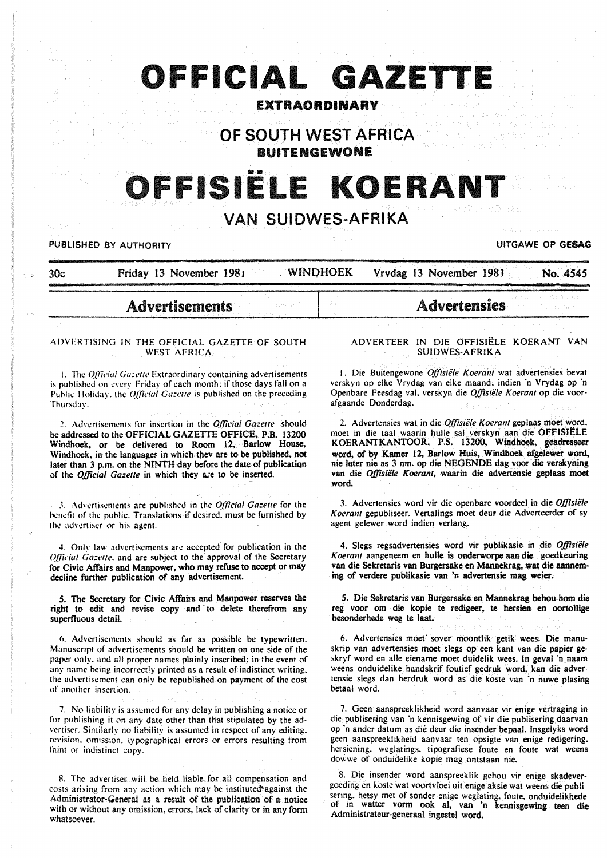# **OFFICIAL GAZETTE**

# EXTRAORDINARY

OF SOUTH WEST AFRICA BUITENGEWONE

# ISIËLE KOERANT

# VAN SUIDWES-AFRIKA

**PUBLISHED BY AUTHORITY EXECUTE ACCOUNT OF SESAGRAPHIC CONTRACT CONTRACT OF GESAGRAPHIC CONTRACT OF GESAGRAPHIC CONTRACT OF GESAGRAPHIC CONTRACT OF GESAGRAPHIC CONTRACT OF GESAGRAPHIC CONTRACT OF GESAGRAPHIC CONTRACT OF** 

30c Friday 13 November 1981 WINDHOEK Vrvdag 13 November 1981 No. 4545

# Advertisements

### ADVERTISING IN THE OFFICIAL GAZETTE OF SOUTH WEST AFRICA

1. The *Official Gazette* Extraordinary containing advertisements is published on every Friday of each month; if those days fall on a Public Holiday, the *Official Gazette* is published on the preceding Thursday.

~. Advertisements for insertion in the *Official Gazette* should be addressed to the OFFICIAL GAZETTE OFFICE, P.S. 13200 Windhoek. or be delivered to Room 12. Barlow House, Windhoek, in the languages in which thev are to be published, not later than 3 p.m. on the NINTH day before the date of publication of the *Official Gazette* in which they a;e to be inserted.

3. Advertisements are published in the *Official Gazette* for the benefit of the public. Translations if desired. must be furnished by the advertiser or his agent.

4. Only law advertisements are accepted for publication in the Official Gazette, and are subject to the approval of the Secretary for Civic Affairs and Manpower. who may refuse to accept or may decline further publication of any advertisement

*S.* The Secretary for Civic Affairs and Manpower reserves the right to edit and revise copy and to delete therefrom any superfluous detail.

n. Advertisements should as far as possible be typewritten. Manuscript of advertisements should be written op one side of the paper only. and all proper names plainly inscribed: in the event of any name hcing incorrectly printed as a result of indistinct writing. the advertisement can only be republished on payment of the cost of another insertion.

7. No liability is assumed for any delay in publishing a notice or for publishing it on any date other than that stipulated by the advertiser. Similarly no liability is assumed in respect of any editing. revision. omission. typographical errors or errors resulting from faint or indistinct copy.

R. The advertiser will be held liable for all compensation and costs arising from any action which may be instituted"against the Administrator-General as a result of the publication of a notice with or without any omission, errors, lack of clarity or in any form whatsoever.

#### ADVER TEER IN DIE OFFISIELE KOERANT VAN SUIDWES-AFRIKA

Advertensies

1. Die Buitengewone *Offisiële Koerant* wat advertensies bevat verskyn op elke Vrydag van elke maand: indien 'n Vrydag op 'n Openbare Feesdag val. verskyn die *Offisiiile Koerant* op die voorafgaande Donderdag.

2. Advertensies wat in die *Offisiële Koerant* geplaas moet word. moet in die taal waarin. hulle sal verskyn aan die OFFISIELE KOERANTKANTOOR, P.S. 13200, Windhoek, geadresseer word. of by Kamer 12. Barlow Huis. Windhoek afgelewer word. nie later nie as 3 nm. op die NEGENDE dag voor die verskyning van die *Offisiële Koerant*, waarin die advertensie geplaas moet ~ord.

3. Advertensies word vir die openbare voordeel in die *O.ffisie/e Koerant* gepubliseer. Vertalings moet deu• die Adverteerder of sy agent gelewer word indien verlang.

4. Slegs regsadvertensies word vir publikasie in die *Offisiële Koerant* aangeneem en bulle is onderworpe aan die goedkeuring van die Sekretaris van Burgersake en Mannekrag, wat die aanneming of verdere publikasie van 'n advertensie mag weier.

*S.* Die Sekretaris van Burgersake en Manneltrag behou hom die reg voor om die kopie te redigeer. te hersien en oortollige besonderhede weg te laat.

6. Advertensies moet sover moontlik getik wees. Die manuskrip van advertensies moet slegs op een kant van die papier ge· skryf word en aile eiename moet duidelik wees. In geval ·n naam weens onduidelike handskrif foutief gedruk word. kan die advertensie slegs dan herdruk word as die koste van ·n nuwe plasing betaal word.

7. Geen aanspreeklikheid word aanvaar vir enige vertraging in die publisering van 'n kennisgewing of vir die publisering daarvan op ·n ander datum as die deur die insender bepaal. Insgelyks word geen aanspreeklikheid aanvaar ten opsigte van enige redigering. hersiening. weglatings. tipografiese foute en foute wat weens dowwe of onduidelike kopie mag ontstaan nie.

8. Die insender word aanspreeklik gehou vir enige skadevergoeding en koste wat voortvloei uit. enige aksie wat weens die publisering. hetsy met of sonder enige weglating. foute. onduidelikhede of in watter vorm ook al. van 'n kennisgewing teen die Administrateur-generaal ingestel word.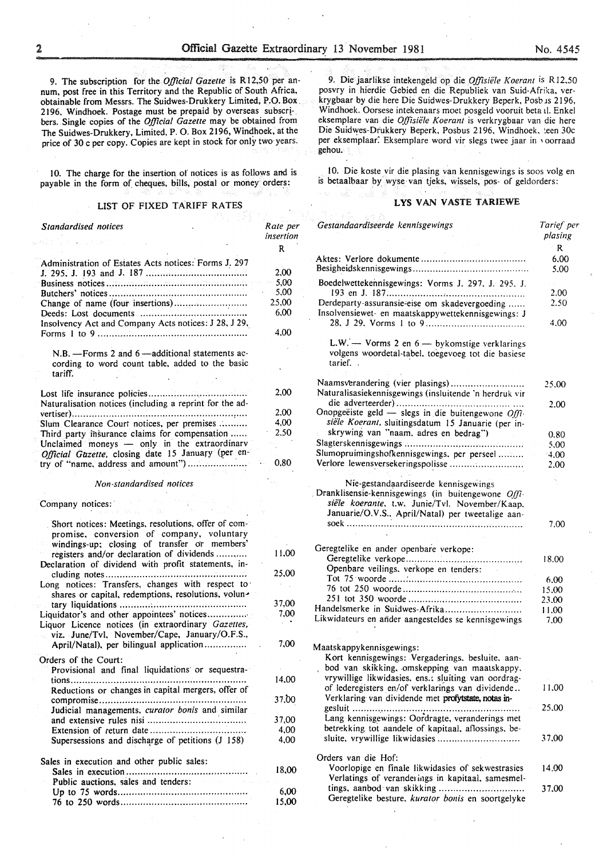9. The subscription for the *Official Gazette* is Rl2,50 per annum, post free in this Territory and the Republic of South Africa, obtainable from Messrs. The Suidwes-Drukkery Limited, P.O. Box 2196, Windhoek. Postage must be prepaid by overseas subscribers. Single copies of the *Official Gazette* may be obtained from The Suidwes-Drukkery, Limited, P. 0. Box 2196, Windhoek, at the price of 30 c per copy. Copies are kept in stock for only two years.

10. The charge for the insertion of notices is as follows and is payable in the form of cheques, bills, postal or money orders:

#### LIST OF FIXED TARIFF RATES

| <b>Standardised notices</b>                                                                                                                                                                   | Rate per<br>insertion |
|-----------------------------------------------------------------------------------------------------------------------------------------------------------------------------------------------|-----------------------|
|                                                                                                                                                                                               | R                     |
| Administration of Estates Acts notices: Forms J. 297                                                                                                                                          |                       |
|                                                                                                                                                                                               | 2,00                  |
|                                                                                                                                                                                               | 5.00                  |
|                                                                                                                                                                                               | 5,00                  |
| Change of name (four insertions)                                                                                                                                                              | 25,00                 |
|                                                                                                                                                                                               | 6,00                  |
| Insolvency Act and Company Acts notices: J 28, J 29,                                                                                                                                          |                       |
|                                                                                                                                                                                               | 4,00                  |
|                                                                                                                                                                                               |                       |
| N.B. - Forms 2 and 6 - additional statements ac-<br>cording to word count table, added to the basic<br>tariff.                                                                                |                       |
|                                                                                                                                                                                               | 2,00                  |
|                                                                                                                                                                                               |                       |
| Naturalisation notices (including a reprint for the ad-                                                                                                                                       |                       |
|                                                                                                                                                                                               | 2.00                  |
| Slum Clearance Court notices, per premises                                                                                                                                                    | 4,00                  |
| Third party insurance claims for compensation                                                                                                                                                 | 2.50                  |
| Unclaimed moneys - only in the extraordinary                                                                                                                                                  |                       |
| Official Gazette, closing date 15 January (per en-                                                                                                                                            |                       |
| try of "name, address and amount")                                                                                                                                                            | 0,80                  |
| Non-standardised notices                                                                                                                                                                      |                       |
|                                                                                                                                                                                               |                       |
| Company notices:                                                                                                                                                                              |                       |
| Short notices: Meetings, resolutions, offer of com-<br>promise, conversion of company, voluntary<br>windings-up; closing of transfer or members'<br>registers and/or declaration of dividends | 11,00                 |
|                                                                                                                                                                                               |                       |
| Declaration of dividend with profit statements, in-                                                                                                                                           |                       |
|                                                                                                                                                                                               | 25,00                 |
| Long notices: Transfers, changes with respect to                                                                                                                                              |                       |
| shares or capital, redemptions, resolutions, volun-                                                                                                                                           |                       |
| tary liquidations                                                                                                                                                                             | 37,00<br>7,00         |
| Liquidator's and other appointees' notices                                                                                                                                                    |                       |
| Liquor Licence notices (in extraordinary Gazettes,                                                                                                                                            |                       |
| viz. June/Tvl, November/Cape, January/O.F.S.,                                                                                                                                                 |                       |
| April/Natal), per bilingual application                                                                                                                                                       | 7,00                  |
| Orders of the Court:                                                                                                                                                                          |                       |
| Provisional and final liquidations or sequestra-                                                                                                                                              |                       |
|                                                                                                                                                                                               | 14.00                 |
| Reductions or changes in capital mergers, offer of                                                                                                                                            |                       |
|                                                                                                                                                                                               | 37,00                 |
| Judicial managements, curator bonis and similar                                                                                                                                               |                       |
|                                                                                                                                                                                               | 37,00                 |
| Extension of return date $\dots \dots \dots \dots \dots \dots \dots \dots \dots$                                                                                                              | 4,00                  |
| Supersessions and discharge of petitions (J 158)                                                                                                                                              | 4,00                  |
|                                                                                                                                                                                               |                       |
| Sales in execution and other public sales:                                                                                                                                                    |                       |
|                                                                                                                                                                                               | 18,00                 |
| Public auctions, sales and tenders:                                                                                                                                                           |                       |
|                                                                                                                                                                                               | 6,00                  |
|                                                                                                                                                                                               | 15,00                 |
|                                                                                                                                                                                               |                       |

9. Die jaarlikse intekengeld op die *Offisiiile K oerant is* R 12.50 posvry in hierdie Gebied en die Republiek van Suid-Afrika, verkrygbaar by die here Die Suidwes-Drukkery Beperk, Posb 1s 2196, Windhoek. Oorsese intekenaars moet posgeld vooruit beta il. Enkel eksemplare van die *Offisiiile Koerant* is verkrygbaar van die here Die Suidwes-Drukkery Beperk, Posbus 2196, Windhoek, :een 30c per eksemplaar: Eksemplare word vir slegs twee jaar in ' oorraad gehou.

10. Die koste vir die plasing van kennisgewings is soos volg en is betaalbaar bY, wyse van tjeks, wissels, pos- of geldorders:

# LYS VAN VASTE TARIEWE

| Gestandaardiseerde kennisgewings                                                                                                                                                                  | Tarief per<br>plasing |
|---------------------------------------------------------------------------------------------------------------------------------------------------------------------------------------------------|-----------------------|
|                                                                                                                                                                                                   | R                     |
|                                                                                                                                                                                                   | 6,00<br>5.00          |
| Boedelwettekennisgewings: Vorms J. 297, J. 295, J.                                                                                                                                                | 2.00                  |
| Derdeparty-assuransie-eise om skadevergoeding<br>Insolvensiewet- en maatskappywettekennisgewings: J                                                                                               | 2.50                  |
|                                                                                                                                                                                                   | 4.00                  |
| L.W. - Vorms 2 en 6 - bykomstige verklarings<br>volgens woordetal-tabel, toegevoeg tot die basiese<br>tarief                                                                                      |                       |
| Naamsverandering (vier plasings)<br>Naturalisasiekennisgewings (insluitende 'n herdruk vir                                                                                                        | 25.00                 |
| Onopgeëiste geld - slegs in die buitengewone Offi-                                                                                                                                                | 2.00                  |
| siële Koerant, sluitingsdatum 15 Januarie (per in-                                                                                                                                                |                       |
| skrywing van "naam, adres en bedrag")                                                                                                                                                             | 0.80                  |
|                                                                                                                                                                                                   | 5.00                  |
| Slumopruimingshofkennisgewings, per perseel                                                                                                                                                       | 4,00                  |
| Verlore lewensversekeringspolisse                                                                                                                                                                 | 2.00                  |
|                                                                                                                                                                                                   |                       |
| Nie-gestandaardiseerde kennisgewings<br>Dranklisensie-kennisgewings (in buitengewone Offi-<br>siële koeranie, t.w. Junie/Tvl. November/Kaap.<br>Januarie/O.V.S., April/Natal) per tweetalige aan- |                       |
|                                                                                                                                                                                                   | 7.00                  |
| Geregtelike en ander openbare verkope:                                                                                                                                                            |                       |
|                                                                                                                                                                                                   | 18.00                 |
|                                                                                                                                                                                                   |                       |
|                                                                                                                                                                                                   | 6,00                  |
|                                                                                                                                                                                                   | 15.00                 |
|                                                                                                                                                                                                   | 23,00                 |
| Handelsmerke in Suidwes-Afrika                                                                                                                                                                    | 11.00                 |
| Likwidateurs en añder aangesteldes se kennisgewings                                                                                                                                               | 7.00                  |
|                                                                                                                                                                                                   |                       |
| Maatskappykennisgewings:                                                                                                                                                                          |                       |
| Kort kennisgewings: Vergaderings, besluite, aan-                                                                                                                                                  |                       |
| bod van skikking, omskepping van maatskappy,                                                                                                                                                      |                       |
| vrywillige likwidasies, ens.; sluiting van oordrag-                                                                                                                                               |                       |
| of lederegisters en/of verklarings van dividende<br>Verklaring van dividende met profytstate, notas in-                                                                                           | 11.00                 |
|                                                                                                                                                                                                   | 25.00                 |
| Lang kennisgewings: Oordragte, veranderings met<br>betrekking tot aandele of kapitaal, aflossings, be-                                                                                            |                       |
| sluite, vrywillige likwidasies                                                                                                                                                                    | 37.00                 |
| Orders van die Hof:                                                                                                                                                                               |                       |
| Voorlopige en finale likwidasies of sekwestrasies<br>Verlatings of veranderings in kapitaal, samesmel-                                                                                            | 14.00                 |
| Geregtelike besture, kurator bonis en soortgelyke                                                                                                                                                 | 37,00                 |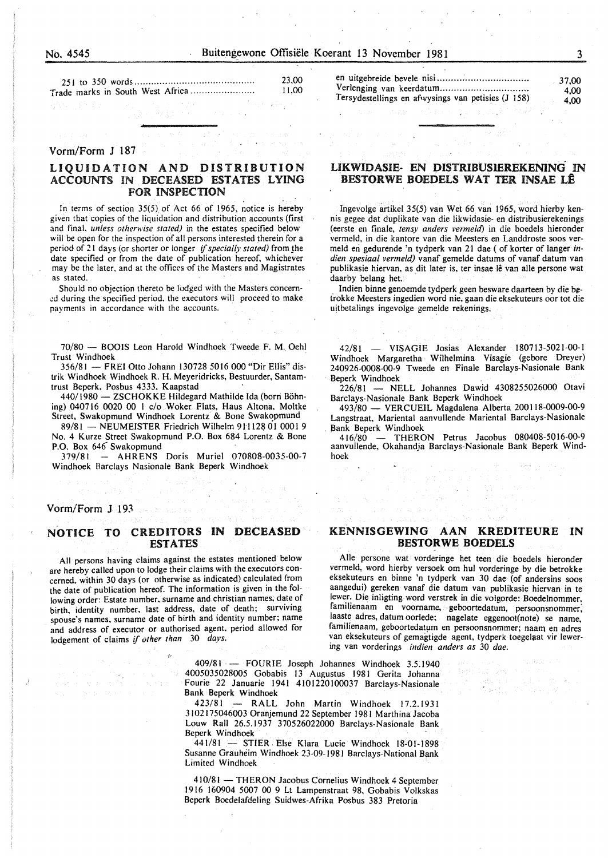#### Vorm/Form J 187

# LIQUIDATION AND DISTRIBUTION ACCOUNTS IN DECEASED ESTATES LYING FOR INSPECTION

In terms of section  $35(5)$  of Act 66 of 1965, notice is hereby given that copies of the liquidation and distribution accounts (first and final. *unless otherwise stated)* in the estates specified below will be open for the inspection of all persons interested therein for a period of 21 days (or shorter or longer *if specially stated)* from the date specified or from the date of publication hereof, whichever may be the later. and at the offices of the Masters and Magistrates as stated.

Should no objection thereto be lodged with the Masters concem- .:d during the specified period. the executors will proceed to make payments in accordance with the accounts.

70/80 - BOOIS Leon Harold Windhoek Tweede F. M. Oehl Trust Windhoek

356/81 - FREl Otto Johann 130728 5016 000 "Dir Ellis" distrik Windhoek Windhoek R. H. Meyeridricks, Bestuurder, Santamtrust Beperk. Posbus 4333. Kaapstad

440/1980 - ZSCHOKKE Hildegard Mathilde Ida (born Böhning) 040716 0020 00 I c/o Woker Flats, Haus Altona, Moltke Street, Swakopmund Windhoek Lorentz & Bone Swakopmund

89/81 - NEUMEISTER Friedrich Wilhelm 911128 01 0001 9 No. 4 Kurze Street Swakopmund P.O. Box 684 Lorentz & Bone P.O. Box 646<sup>-</sup> Swakopmund

379/81 - AHRENS Doris Muriel 070808-0035-00-7 Windhoek Barclays Nasionale Bank Beperk Windhoek

#### Vorm/Form J 193

# NOTICE TO CREDITORS IN DECEASED ESTATES

All persons having claims against the estates mentioned below are hereby called upon to lodge their claims with the executors concerned. within 30 days (or otherwise as indicated) calculated from the date of publication hereof. The information is given in the following order: Estate number. surname and christian names; date of birth. identity number. last address, date of death; surviving spouse's names, surname date of birth and identity number; name and address of executor or authorised agent. period allowed for lodgement of claims if *other than* 30 *days.* 

en uitgebreide bevele nisi ................................ . Verlenging van keerdatum ............................... . Tersydestellings en afwysings van petisies (J 158) 37,00 4,00 4,00

## UKWIDASIE- EN DISTRIBUSlEREKENING IN BESTORWE BOEDELS WAT TER INSAE LÊ

Ingevolge artikel 35(5) van Wet 66 van 1965, word hierby kennis gegee dat duplikate van die likwidasie- en distribusierekenings (eerste en finale, *tensy anders vermeld)* in die boedels hieronder vermeld, in die kantore van die Meesters en Landdroste soos vermeld eri gedurende 'n tydperk van 21 dae (of korter of Ianger *indien spesiaal vermeld)* vanaf gemelde datums of vanaf datum van publikasie hiervan, as dit later is, ter insae lê van alle persone wat daarby belang het.

. Indien binne genoemde tydperk geen besware daarteen by die betrokke Meesters ingedien word nie, gaan die eksekuteurs oor tot die uitbetalings ingevolge gemelde rekenings.

42/81 - VISAGIE Josias Alexander 180713-5021-00-1 Windhoek Margaretha Wilhelmina Visagie (gebore Dreyer) 240926-0008-00-9 Tweede en Finale Barclays-Nasionale Bank Beperk Windhoek

226/81 - NELL Johannes Dawid 4308255026000 Otavi Barclays-Nasionale Bank Beperk Windhoek

493/80- VERCUEIL Magdalena Alberta 200118-0009-00-9 Langstraat, Mariental aanvullende Mariental Barclays-Nasionale Bank Beperk Windhoek<br>416/80 - THERO

- THERON Petrus Jacobus 080408-5016-00-9 aanvullende, Okahandja Barclays-Nasionale Bank Beperk Windhoek

# KENNISGEWING AAN KREDITEURE IN BESTORWE BOEDELS

Aile persone wat vorderinge het teen die boedels hieronder vermeld, word hierby versoek om hul vorderinge by die betrokke eksekuteurs en binne 'n tydperk van 30 dae (of andersins soos aangedui) gereken vanaf die datum van publikasie hiervan in te !ewer. Die inligting word verstrek in die volgorde: Boedelnommer, familienaam en voorname, geboortedatum, persoonsnommer; laaste adres, datum oorlede; nagelate eggenoot(note) se name, familienaam, geboortedatum en persoonsnommer; naam en adres van eksekuteurs of gemagtigde agent, tydperk toegelaat vir lewering van vorderings *indien anders as* 30 *dae.* 

409/81 · - FOURIE Joseph Johannes Windhoek 3.5.1940 4005035028005 Gobabis 13 Augustus 1981 Gerita Johanna Fourie 22 Januarie 1941 4101220100037 Barclays-Nasionale Bank Beperk Windhoek

423/81 *:--* RALL John Martin Windhoek 17.2.1931 3102175046003 Oranjemund 22 September 1981 Marthina Jacoba Louw Rail 26.5.1937 370526022000 Barclays-Nasionale Bank Beperk Windhoek

441/81 - STIER Else Klara Lucie Windhoek 18-01-1898 Susanne Grauheim Windhoek 23-09-1981 Barclays-National Bank Limited Windhoek

410/81 - THERON Jacobus Cornelius Windhoek 4 September 1916 160904 5007 00 9 Lt Lampenstraat 98. Gobabis Volkskas Beperk Boedelafdeling Suidwes-Afrika Posbus 383 Pretoria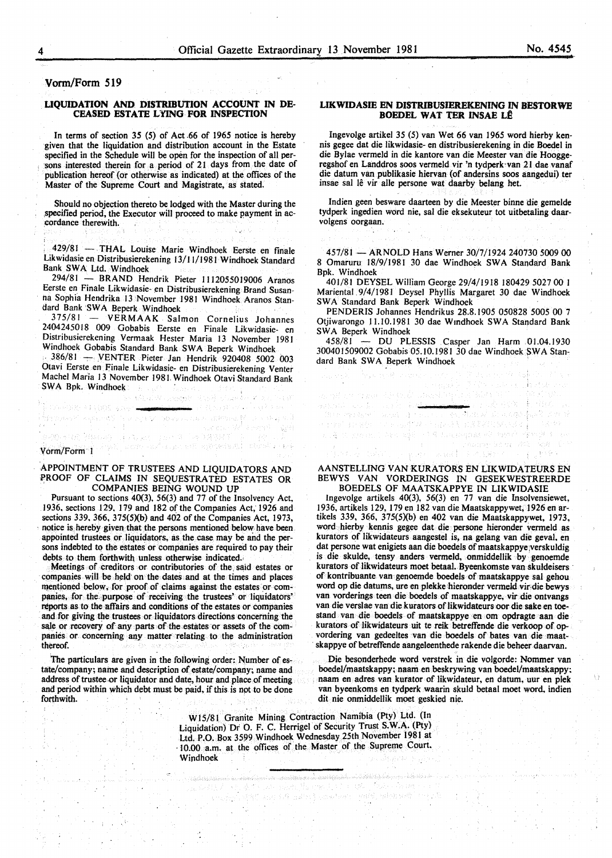## Vorm/Form 519

#### LIQUIDATION AND DISTRIBUTION ACCOUNT IN DE-CEASED ESTATE LYING FOR INSPECTION

In terms of section 35 (5) of Act .66 of 1965 notice is hereby given that the liquidation and distribution account in the Estate specified in the Schedule will be open for the inspection of all persons interested therein for a period of 21 days from the date of publication hereof (or otherwise as indicated) at the offices of the Master of the Supreme Court and Magistrate, as stated.

Should no objection thereto be lodged with the Master during the .specified period, the Executor will proceed to make payment in ac- :cordance therewith.

429/81 - THAL Louise Marie Windhoek Eerste en finale Likwidasie en Distribusierekening 13/11/1981 Windhoek Standard Bank SWA Ltd. Windhoek

294/81 - BRAND Hendrik Pieter 1112055019006 Aranos Eerste en Finale Likwidasie- en Distribusierekening Brand Susanna Sophia Hendrika 13 November 1981 Windhoek Aranos Standard Bank SW A Beperk Windhoek

375/81 - VERMAAK Salmon Cornelius Johannes 2404245018 009 Gobabis Eerste en Finale Likwidasie- en Distribusierekening Vermaak Hester Maria 13 November 1981 Windhoek Gobabis Standard Bank SWA Beperk Windhoek

. 386/81 - .VENTER Pieter Jan Hendrik 920408 5002 003 Otavi Eerste en Finale Likwidasie- en Distribusierekening Venter Machel Maria 13 November 198 I. Windhoek Otavi Standard Bank SWA Bpk. Windhoek

ROSTER ROBBER (1970) and the CROSSET

WishWoodsk RSB

▲ Fill Book ピー

#### Vorm/Form l

Seeps HRK ove

#### APpOINTMENT OF TRUSTEES AND LIQUIDATORS AND PROOF OF CLAIMS IN SEQUESTRATED ESTATES OR COMPANIES BEING WOUND UP

i i i santa estas politikaj en la provincia

Pursuant to sections 40(3), 56(3) and 77 of the Insolvency Act, 1936. sections 129, 179 and 182 of the Companies Act, 1926 and sections 339. 366, 375(5)(b) and 402 of the Companies Act, 1973, notice is hereby given that the persons mentioned below have been appointed trustees or liquidators, as the case may be and the persons indebted to the estates or companies are required to pay their debts to them forthwith unless otherwise indicated.

Meetings of creditors or contributories of the, said estates or companies will be held on the dates and at the times and places mentioned below, for proof of claims against the estates or companies, for the purpose of receiving the trustees' or liquidators' reports as to the affairs and conditions of the estates or companies and for giving the trustees or liquidators directions concerning the sale or recovery of any parts of the estates or assets of the companies or concerning any matter relating to the administration thereof.

The particulars are given in the following order: Number of estate/company; name and description of estate/company; name and address of trustee .or liquidator and date, hour and place of meeting and period within which debt must be paid, if this is not to be done forthwith.

#### LIKWIDASIE EN DISTRIBUSIEREKENING IN BESTORWE BOEDEL WAT TER INSAE LÊ

Ingevolge artikel 35 (5) van Wet 66 van 1965 word hierby kennis gegee dat die likwidasie- en distribusierekening in die Boedel in die Bylae vermeld in die kantore van die Meester van die Hooggeregshof en Landdros soos vermeld vir 'n tydperk·van 21 dae vanaf die datum van publikasie hiervan (of andersins soos aangedui) ter insae sal le vir aile persone wat daarby belang het.

Indien geen besware daarteen by die Meester binne die gemelde tydperk ingedien word nie, sal die eksekuteur tot uitbetaling daarvolgens oorgaan.

457/81 - ARNOLD Hans Werner 30/7/1924 240730 5009 00 8 Omaruru 18/9/1981 30 dae Windhoek SWA Standard Bank Bpk. Windhoek

401/81 DEYSEL William George 29/4/1918 180429 5027 00 I Mariental.9/4/1981 Deysel Phyllis Margaret 30 dae Windhoek SWA Standard Bank Beperk Windhoek

PENDERIS Johannes Hendrikus 28.8.1905 050828 *5005* 00 7 Otjiwarongo I 1.10.1981 30 dae W mdhoek SW A Standard Bank SWA Beperk Windhoek

458/81 - DU PLESSIS Casper Jan Harm 01.04.1930 30040!509002 Gobabis 05.10.1981 30 dae Windhoek SWA Standard Bank SWA Beperk Windhoek

trans of Forest Integrity in Allie

우리 이 학습관

AANSTELLJNG VAN KURATORS EN LIKWIDATEURS EN BEWYS VAN VORDERINGS IN GESEKWESTREERDE BOEDELS OF MAATSKAPPYE IN LIKWIDASIE

(主)作为某物产

lngevolge artikels 40(3), 56(3) en 77 van die Jnsolvensiewet, 1936, artikels I 29, 179 en 182 van die Maatskappywet, 1926 en artikels 339, 366, 375(5)(b) en 402 van die Maatskappywet, 1973, word hierby kennis gegee dat die persone hieronder vermeld as kurators of likwidateurs aangestel is, na gelang van die geval, en dat persone wat enigiets aan die boedels of maatskappye;verskuldig is die skulde, tensy anders vermeld, onmiddellik by genoemde kurators of likwidateurs moet betaal. Byeenkomste van skuldeisers of kontribuante van genoemde boedels of maatskappye sal gehou word op die datums, ure en plekke hieronder vermeld vir; die bewys van vorderings teen die boedels of maatskappye, vir die ontvangs van die verslae van die kurators of likwidateurs oor die sake en toestand van die boedels of maatskappye en om opdragte aan die kurators of likwidateurs uit te reik betreffende die verkoop of opvordering van gedeeltes van die boedels of bates van die maat skappye of betreffende aangeleenthede rakende die beheer daarvan.

Die besonderhede word verstrek in die volgorde: Nommer van boedel/maatskappy; naam en beskrywing van boedel/maatskappy: . naam en adres van kurator of likwidateur, en datum, uur en plek van byeenkoms en tydperk waarin skuld betaal moet word. indien dit nie onmiddellik moet geskied nie.

WIS/81 Granite Mining Contraction Namibia (Pty) Ltd. (In Liquidation) Dr 0. F. C. Herrigel of Security Trust S.W.A. (Pty) Ltd. P.O. Box 3599 Windhoek Wednesday 25th November 1981 at · 10.00 a.m. at the offices of the Master of the Supreme Court. Windhoek

layet i

alaka Maria ya Marekani ya Marekani ya Marekani ya Marekani ya Marekani ya Marekani ya Marekani ya Marekani ya

and 1.6 million) considers a graph relationship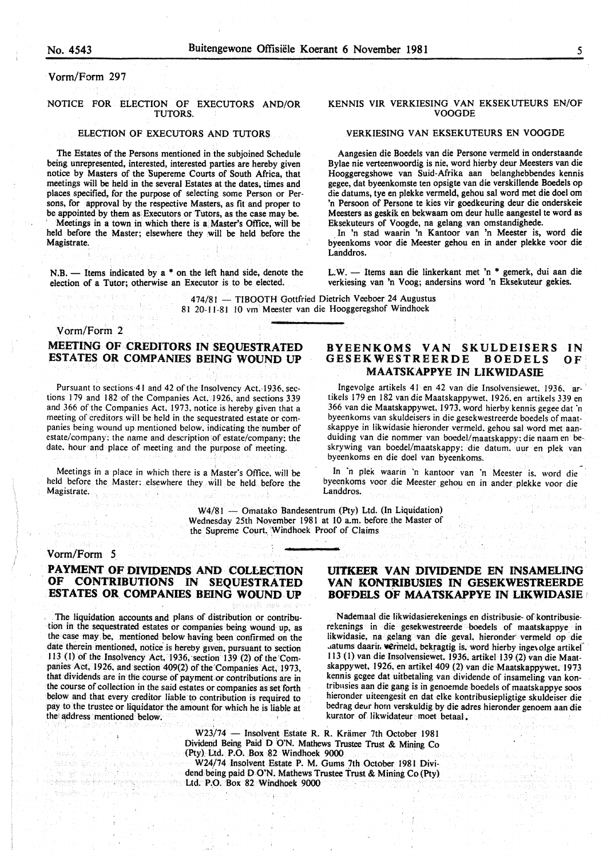#### Vorm/Form 297

#### NOTICE FOR ELECTION OF EXECUTORS AND/OR TUTORS.

#### ELECTION OF EXECUTORS AND TUTOR\$

The Estates of the Persons mentioned in the subjoined Schedule being unrepresented, interested, interested parties are hereby given notice by Masters of the Supereme Courts of South Africa, that meetings will be held in the several Estates at the dates, times and places specified, for the purpose of selecting some Person or Persons, for approval by the respective Masters, as fit and proper to be appointed by them as Executors or Tutors, as the case may be.

Meetings in a town in which there is a Master's Office, will be held before the Master; elsewhere they will be held before the Magistrate.

 $N.B.$  - Items indicated by a  $*$  on the left hand side, denote the election of a Tutor; otherwise an Executor is to be elected.

#### KENNIS VIR VERKIESING VAN EKSEKUTEURS EN/OF VOOGDE

#### VERKIESING VAN EKSEKUTEURS EN VOOGDE

Aangesien die Boedels van die Persone vermeld in onderstaande Bylae nie verteenwoordig is nie, word hierby deur Meesters van die Hooggeregshowe van Suid-Afrika aan belanghebbendes kennis gegee, dat byeenkomste ten opsigte van die verskillende Boedels op die datums, tye en plekke vermeld, gehou sal word met die doel om 'n Persoon of Persone te kies vir goedkeuring deur die onderskeie Meesters as geskik en bekwaam om deur hulle aangestel te word as Eksekuteurs of Voogde, na gelang van omstandighede.

In 'n stad waarin 'n Kantoor van 'n Meester is, word die byeenkoms voor die Meester gehou en in ander plekke voor die Landdros.

L:W. - Items aan die linkerkant met 'n \* gemerk, dui aan die verkiesing van 'n Voog; andersins word 'n Eksekuteur gekies.

474/81 - TIBOOTH Gottfried Dietrich Veeboer 24 Augustus 81 20-11-81 10 vm Meester van die Hooggeregshof Windhoek

## Vorm/Form 2

# MEETING OF CREDITORS IN SEQUESTRATED ESTATES OR COMPANIES BEING WOUND UP

Pursuant to sections 41 and 42 of the Insolvency Act, 1936, sections 179 and 182 of the Companies Act. 1926. and sections 339 and 366 of the Companies Act. 1973. notice is hereby given that a meeting of creditors will be held in the sequestrated estate or companies being wound up, mentioned below. indicating the number of estate/company: the name and description of estate/company: the date. hour and place of meeting and the purpose of meeting.

Meetings in a place in which there is a Master's Office. will be held before the Master: elsewhere they will be held before the Magistrate.

#### BYEENKOMS VAN SKULDEISERS GESEKWESTREERDE BOEDELS MAATSKAPPYE IN LIKWIDASIE IN OF

Ingevolge artikels 41 en 42 van die Insolvensiewet, 1936. ar- ' tikels 179 en 182 van die Maatskappywet. 1926. en artikels 3 39 en 366 van die Maatskappywet, 1973. word hierby kennis gegee dat 'n byeenkoms van skuldeisers in die gesekwestreerde boedels of maatskappye in likwidasie hieronder vermeld. gehou sal word met aanduiding van die nommer van boedel/maatskappy: die naam en beskrywing van boedel/maatskappy: die datum. uur en plek van byeenkoms en die doe! van byeenkoms.

In ·n plek waarin 'n kantoor van 'n Meester is. word die byeenkoms voor die Meester gehou en in ander plekke voor die Landdros.

 $W4/81$  - Omatako Bandesentrum (Pty) Ltd. (In Liquidation) Wednesday 25th November 1981 at 10 a.m. before the Master of the Supreme Court. Windhoek Proof of Claims

# Vorm/Form 5

# PAYMENT OF DIVIDENDS AND COLLECTION OF CONTRIBUTIONS IN SEQUESTRATED ESTATES OR COMPANIES BEING WOUND UP

. The liquidation accounts and plans of distribution or contribution in the sequestrated estates or companies being wound up, as the case may. be, mentioned below having been confirmed on the date therein mentioned, notice is hereby given, pursuant to section 113 (1) of the Insolvency Act, 1936, section 139 (2) of the Companies Act, 1926, and section 409(2) of the Companies Act, 1973, that dividends are in tlie course of payment.or contributions are in the course of collection in the said estates or companies as set forth below and that every creditor liable to contribution is required to pay to the trustee or liquidator the amount for which he is liable at the address mentioned below.

### UITKEER VAN DIVIDENDE EN INSAMELING VAN KONTRIBUSIES IN GESEKWESTREERDE BOFDELS OF MAATSKAPPYE IN LIKWIDASIE

Nademaal die likwidasierekenings en distribusie- of kontribusierekenings in die gesekwestreerde boedels of maatskappye. in likwidasie, na gelang van die geval. hieronder vermeld op die . atums daarir. vermeld, bekragtig is, word hierby ingevolge artikel 113 (1) van die Insolvensiewet, 1936. artikel 139 (2) van die Maatskappywet, 1926, en artikel 409 (2) van die Maatskappywet. 1973 kennis gcgee dat uitbetaling van dividende of insameling van kontribnsies aan die gang is in genoemde boedels of maatskappye soos hieronder uiteengesit en dat elke kontribusiepligtige skuldeiser die bedrag deur horn verskuldig by die adres hieronder genoem aan die kurator of likwidateur moet betaal.

W23/74 - Insolvent Estate R. R. Krämer 7th October 1981 Dividend Being Paid D 'O'N. Mathews Trustee Trust & Mining Co  $(Pty)$ , Ltd. P.O. Box 82 Windhoek 9000

W24/74 Insolvent Estate P. M. Gums 7th October 1981 Dividend being paid D.O'N. Mathews Trustee Trust & Mining Co (Pty) Ltd. P.O. Box 82 Windhoek 9000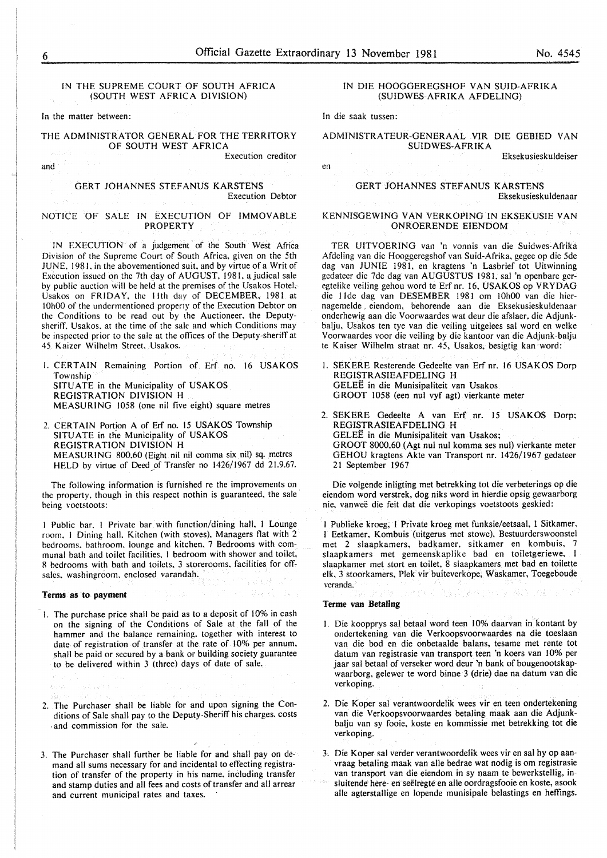en

#### IN THE SUPREME COURT OF SOUTH AFRICA (SOUTH WEST AFRICA DIVISION)

In the matter between:

#### THE ADMINISTRATOR GENERAL FOR THE TERRITORY OF SOUTH WEST AFRICA

Execution creditor

and

GERT JOHANNES STEFANUS KARSTENS

Execution Debtor

#### NOTICE OF SALE IN EXECUTION OF IMMOVABLE PROPERTY

IN EXECUTION of a judgement of the South West Africa Division of the Supreme Court of South Africa, given on the 5th JUNE. 1981. in the abovementioned suit, and by virtue of a Writ of Execution issued on the 7th day of AUGUST, 1981, a judical sale by public auction will be held at the premises of the Usakos Hotel. Usakos on FRIDAY, the lith day of DECEMBER, 1981 at IOhOO of the undermentioned property of the Execution Debtor on the Conditions to be read out by the Auctioneer, the Deputysheriff. Usakos. at the time of the sale and which Conditions may be inspected prior to the sale at the offices of the Deputy-sheriff at 45 Kaizer Wilhelm Street, Usakos.

I. CERTAIN Remaining Portion of Erf no. 16 USAKOS Township SITUATE in the Municipality of USAKOS REGISTRATION DIVISION H MEASURING 1058 (one nil five eight) square metres

2. CERTAIN Portion A of Erf no. 15 USAKOS Township SITUATE in the Municipality of USAKOS REGISTRATION DIVISION H MEASURING 800,60 (Eight nil nil comma six nil) sq. metres HELD by virtue of Deed of Transfer no 1426/1967 dd 21.9.67.

The following information is furnished re the improvements on the property, though in this respect nothin is guaranteed. the sale being voctstoots:

I Public bar. I Private bar with function/dining hall, I Lounge room, I Dining hall. Kitchen (with stoves), Managers flat with 2 bedrooms. bathroom. lounge and kitchen. 7 Bedrooms with communal bath and toilet facilities. 1 bedroom with shower and toilet, 8 bedrooms with bath and toilets. 3 storerooms. facilities for offsales. washingroom. enclosed varandah.

#### Terms as **to payment**

1. The purchase price shall be paid as to a deposit of 10% in cash on the signing of the Conditions of Sale at the fall of the hammer and the balance remaining. together with interest to date of registration of transfer at the rate of 10% per annum, shall be paid or secured by a bank or building society guarantee to be delivered within 3 (three) days of date of sale.

- 2. The Purchaser shall be liable for and upon signing the Conditions of Sale shall pay to the Deputy-Sheriff his charges. costs . and commission for the sale.
- 3. The Purchaser shall further be liable for and shall pay on demand all sums necessary for and incidental to effecting registration of transfer of the property in his name. inCluding transfer and stamp duties and all fees and costs of transfer and all arrear and current municipal rates and taxes.

#### IN DIE HOOGGEREGSHOF VAN SUID-AFRIKA (SUIDWES-AFRIKA AFDELING)

In die saak tussen:

#### ADMINISTRATEUR-GENERAAL VIR DIE GEBIED VAN SUIDWES-AFRIKA

Eksekusieskuldeiser

#### GERT JOHANNES STEFANUS KARSTENS Eksekusieskuldenaar

#### KENNISGEWING VAN VERKOPING IN EKSEKUSIE VAN ONROERENDE EIENDOM

TER UITVOERING van 'n vonnis van die Suidwes-Afrika Afdeling van die Hooggeregshof van Suid-Afrika, gegee op die 5de dag van JUNIE 1981, en kragtens 'n Lasbrief tot Uitwinning gedateer die 7de dag van AUGUSTUS 1981, sal 'n openbare geregtelike veiling gehou word te Erf nr. 16, USAKOS op VRYDAG die 11de dag van DESEMBER 1981 om 10h00 van die hiernagemelde ~ eiendom, behorende aan die Eksekusieskuldenaar onderhewig aan die Voorwaardes wat deur die afslaer. die Adjunkbalju, Usakos ten tye van die veiling uitgelees sal word en welke Voorwaardes voor die veiling by die kantoor van die Adjunk-balju te Kaiser Wilhelm straat nr. 45, Usakos, besigtig kan word:

- I. SEKERE Resterende Gedeelte van Erf nr. 16 USAKOS Dorp REGISTRASIEAFDELING H GELEE in die Munisipaliteit van Usakos GROOT 1058 (een nul vyf agt) vierkante meter
- 2. SEKERE Gedeelte A van Erf nr. 15 USAKOS Dorp; REGISTRASIEAFDELING H GELEE in die Munisipaliteit van Usakos; GROOT 8000,60 (Agt nul nul komma ses nul) vierkante meter GEHOU kragtens Akte van Transport nr. 1426/1967 gedateer 21 September 1967

Die volgende inligting met betrekking tot die verbeterings op die eiendom word verstrek, dog niks word in hierdie opsig gewaarborg nie, vanweë die feit dat die verkopings voetstoots geskied:

I Publieke kroeg, I Private kroeg met funksie/eetsaal, 1 Sitkamer, I Eetkamer, Kombuis (uitgerus met stowe), Bestuurderswoonstel met 2 slaapkamers, badkamer, sitkamer en kombuis, 7 slaapkamers met gemeenskaplike bad en toiletgeriewe, I slaapkamer met stort en toilet, 8 slaapkamers met bad en toilette elk, 3 stoorkamers, Plek vir buiteverkope, Waskamer, Toegeboude veranda.

#### Terme van **Betaling**

- I. Die koopprys sal betaal word teen 10% daarvan in kontant by ondertekening van die Verkoopsvoorwaardes na die toeslaan van die bod en die onbetaalde balans, tesame met rente tot datum van registrasie van transport teen 'n kocrs van 10% per jaar sal betaal of verseker word deur 'n bank of bougenootskapwaarborg, gelewer te word binne 3 (drie) dae na datum van die verkoping.
- 2. Die Koper sal verantwoordelik wees vir en teen ondertekening van die Verkoopsvoorwaardes betaling maak aan die Adjunkbalju van sy fooie, koste en kommissie met betrekking tot die verkoping.
- 3. Die Koper sal verder verantwoordelik wees vir en sal hy op aanvraag betaling maak van aile bedrae wat nodig is om registrasie van transport van die eiendom in sy naam te bewerkstellig, insluitende here- en seelregte en aile oordragsfooie en koste, asook aile agterstallige en lopende munisipale belastings en heffings.